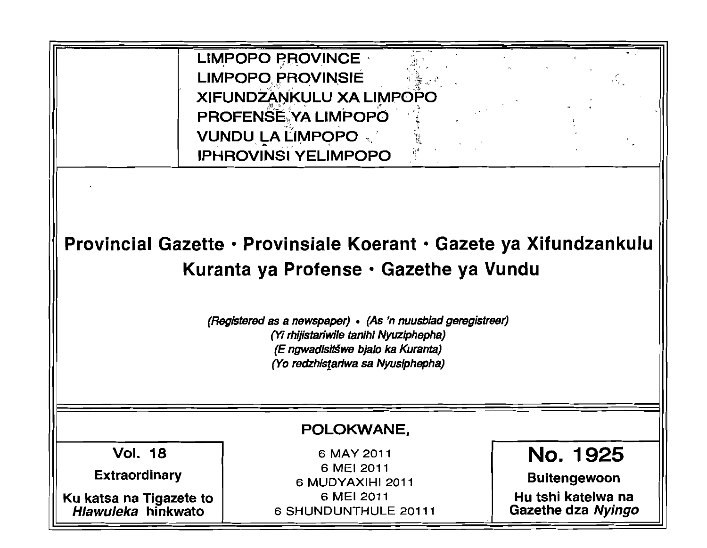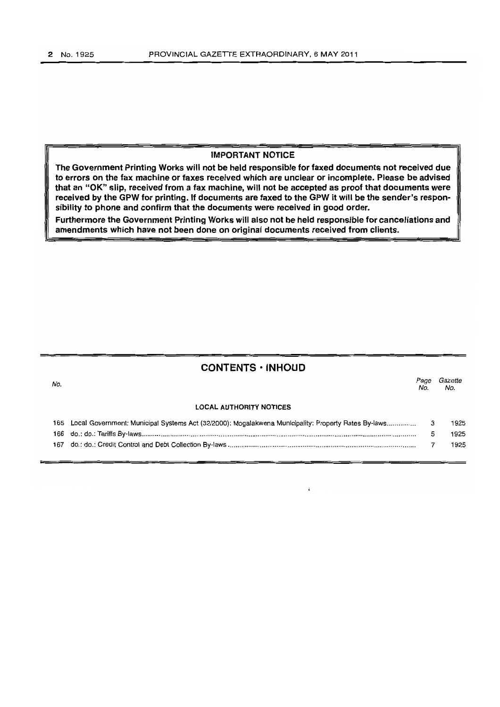# IMPORTANT NOTice

The Government Printing Works will not be held responsible for faxed documents not received due to errors on the fax machine or faxes received which are unclear or incomplete. Please be advised that an "OK" Slip, received from a fax machine, will not be accepted as proof that documents were received by the GPW for printing. If documents are faxed to the GPW it will be the sender's responsibility to phone and confirm that the documents were received in good order.

Furthermore the Government Printing Works will also not be held responsible for cancellations and amendments which have not been done on original documents received from clients.

# CONTENTS • INHOUD

| No. |                                                                                                         | Page<br>No. | Gazette<br>No. |
|-----|---------------------------------------------------------------------------------------------------------|-------------|----------------|
|     | <b>LOCAL AUTHORITY NOTICES</b>                                                                          |             |                |
|     | 165 Local Government: Municipal Systems Act (32/2000); Mogalakwena Municipality: Property Rates By-laws | 3           | 1925           |
|     |                                                                                                         |             | 1925           |
| 167 |                                                                                                         |             | 1925           |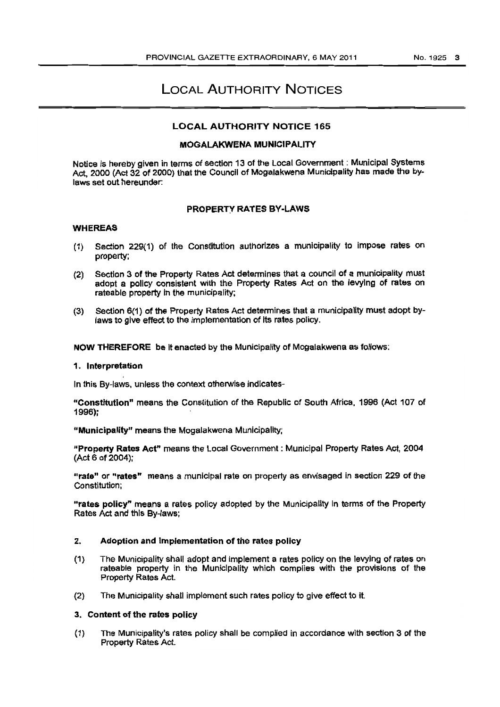# LOCAL AUTHORITY NOTICES

# LOCAL AUTHORITY NOTICE 165

# MOGALAKWENA MUNICIPALITY

Notice is hereby given in terms of section 13 of the Local Government: Municipal Systems Act, 2000 (Act 32 of 2000) that the Council of Mogalakwena Municipality has made the bylaws set out hereunder:

## PROPERTY RATES BY-LAWS

## WHEREAS

- (1) Section 229(1) of the Constitution authorizes a municipality to impose rates on property;
- (2) Section 3 of the Property Rates Act determines that a council of a municipality must adopt a policy consistent with the Property Rates Act on the levying of rates on rateable property in the municipality:
- (3) Section 6(1) of the Property Rates Act determines that a municipality must adopt bylaws to give effect to the implementation of its rates policy.

NOW THEREFORE be it enacted by the Municipality of Mogalakwena as follows:

#### 1. Interpretation

In this By-laws, unless the context otherwise Indlcates-

IIConstltution" means the Constitution of the Republic of South Africa, 1996 (Act 107 of 1996);

"Municipality" means the Mogalakwena Municipality;

"Property Rates Act" means the Local Government: Municipal Property Rates Act, 2004 (Act 6 of 2004):

"rate" or "rates" means a municipal rate on property as envisaged in section 229 of the Constitution;

"rates policy" means a rates policy adopted by the Municipality in terms of the Property Rates Act and this By-laws;

## 2. Adoption and Implementation of the rates policy

- (1) The Municipality shall adopt and Implement a rates policy on the levying of rates on rateable property in the Municipality which compiles with the provisions of the Property Rates Act.
- (2) The Municipality shall implement such rates policy to give effect to it.

## 3. Content of the rates policy

(1) The Municipality's rates policy shall be complied in accordance with section 3 of the Property Rates Act.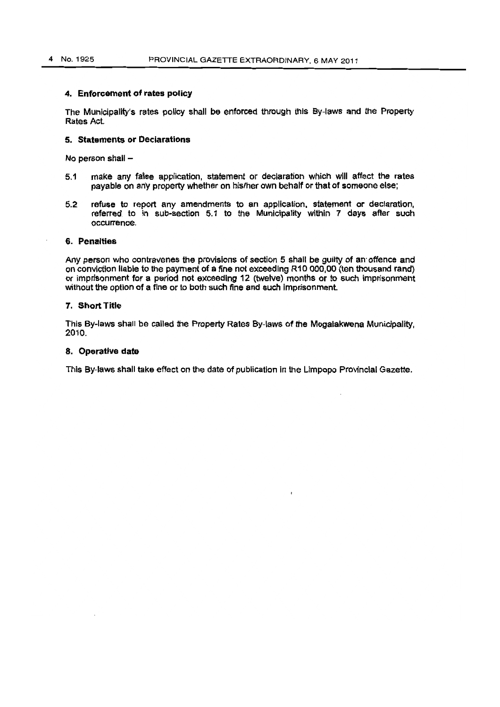#### 4. Enforcement of rates policy

The Municipality's rates policy shall be enforced through this By-laws and the Property Rates Act.

#### 5. Statements or Declarations

No person shall  $-$ 

- 5,1 make any false application, statement or declaration whioh will affect the rates payable on any property whether on his/her own behalf or that of someone else;
- 5,2 refuse to report any amendments to an application, statement or declaration, referred to in sub-section 5.1 to the Municipality within 7 days after such occurrence.

## 6. Penalties

Any person who contravenes the provisions of section 5 shall be guilty of an offence and on conviction liable to the payment of a fine not exceeding R10 000,00 (ten thousand rand) or imprisonment for a period not exceeding 12 (twelve) months or to such Imprisonment without the option of a fine or to both such fine and such imprisonment.

## 7. Short Title

This By-laws shall be called the Property Rates By-laws of the Mogalakwena Municipality. 2010.

#### 8. Operative date

This By-laws shall take effect on the date of publication in the limpopo Provincial Gazette.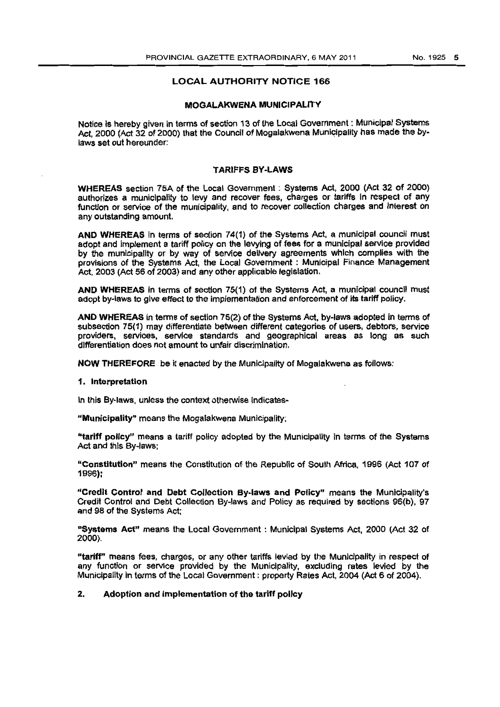## LOCAL AUTHORITV NOTICE 166

#### MOGALAKWENA MUNICIPALITY

Notice is hereby given in terms of section 13 of the Local Government: Municipal Systems Act, 2000 (Act 32 of 2000) that the Council of Mogalakwena Municipality has made the bylaws set out hereunder:

#### 'TARIFFS BY -LAWS

WHEREAS section 75A of the Local Government: Systems Act. 2000 (Act 32 of 2000) authorizes a municipality to levy and recover fees, charges or tariffs in respect of any function or service of the municipality, and to recover collection charges and interest on any outstanding amount.

AND WHEREAS in terms of section 74(1) of the Systems Act, a municipal council must adopt and implement a tariff policy on the levyfng of fees for a municipal servioe provided by the municipality or by way of service deliVery agreements which complies with the provisions of the Systems Act, the Local Government : Municipal Finance Management Act, 2003 (Act 56 of 2003) and any other applicable legislation.

AND WHEREAS in terms of section 75(1) of the Systems Act, a municipal council must adopt by-laws to give effect to the implementation and enforcement of its tariff policy.

AND WHEREAS in terms of section 75(2) of the Systems Act, by~laws adopted in terms of subsection 75(1) may differentiate between different categories of users, debtors, service providers, services, service standards and geographical areas as long as such differentiation does not amount to unfair discrimination.

NOW THEREFORE be it enacted by the Municipality of Mogalakwena as follows:

#### 1. Interpretation

In this By-laws, unless the context otherwise Indicates-

"Municipality" means the Mogalakwena Municipality;

"tariff policy" means a tariff policy adopted by the Municipality in terms of the Systems Act and this By·laws;

"Constitution" means the Constitution of the Republic of South Africa. 1996 (Act 107 of 1996):

·'Credlt Contror and Debt Collection By-laws and Policy'" means the Municipality's Credit Control and Debt Collection By-laws and Policy as required by sections 96(b) , 97 and 98 of the Systems Act;

"Systems Act" means the Local Govemment : Municipal Systems Act, 2000 (Act 32 of 2000).

"tariff" means fees, charges, or any other tariffs levied by the Municipality in respect of any function or service provided by the Municipality, excluding rates levied by the Municipality in terms of the Local Govemment : property Rates Act, 2004 (Act 6 of 2004).

## 2. Adoption and Implementation of the tariff policy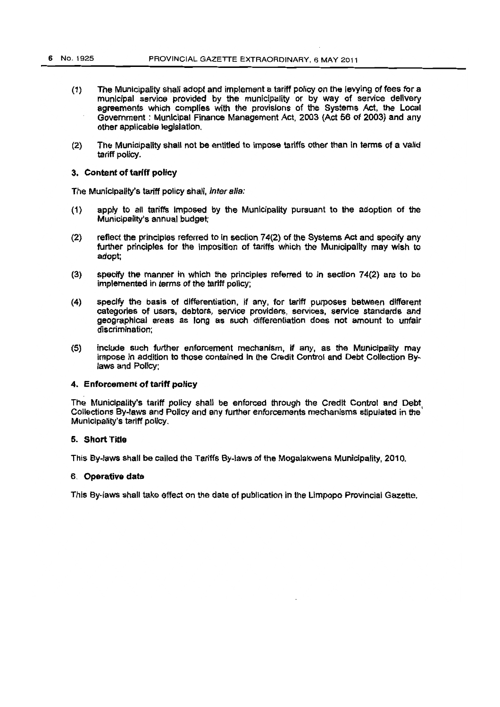- $(1)$  The Municipality shall adopt and implement a tariff policy on the levying of fees for a municipal service provided by the municipality or by way of service delivery agreements which complfes with the provisions of the Systems Act, the Local Government: Municipal Finance Management Act. 2003 (Act 56 of 2003) and any other applicable legislation.
- (2) The Municipality shall not be entitled to impose tariffs other than in terms of a valid tariff policy.

## 3. Content of tariff policy

The Municipality's tariff policy shall, inter alia:

- (1) apply to all tariffs imposed by the Municipality pursuant to the adoption of the Municipality's annual budget;
- (2) reflect the principles referred to in section 74(2) of the Systems Act and specify any further principles for the imposition of tariffs which the Municipality may wish to adopt;
- $(3)$  specify the manner in which the principles referred to in section 74 $(2)$  are to be implemented in terms of the tariff policy;
- (4) specify the basis of differentiation. if any. for tariff purposes between different categories of users, debtors, service providers, services. service standards and geographical areas as long as such differentiation does not amount to unfair discrimination;
- $(5)$  include such further enforcement mechanism, if any, as the Municipality may impose In addition to those contained In the Credit Control and Debt Collection Bylaws and Policy:

## 4. Enforcement of tariff policy

The Municipality's tariff policy shall be enforced through the Credit Control and Debt Collections By-laws and Policy and any further enforcements mechanisms stipulated in the Municipality's tariff policy.

## 5. Short Title

This By-laws shall be called the Tariffs By-laws of the Mogalakwena Municipality. 2010.

## 6. Operative date

This By-laws shall take effect on the date of publication in the Limpopo Provincial Gazette.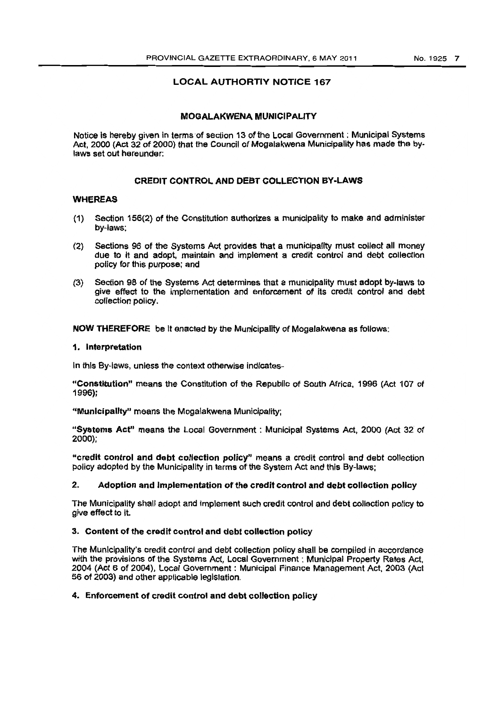# LOCAL AUTHORTIY NOTICE 167

## MOGAlAKWENA MUNICIPALITY

Notice is hereby given in terms of section 13 of the Local Govemment: Municipal Systems Act, 2000 (Act 32 of 2000) that the Council of Mogalakwena Municipality has made the bylaws set out hereunder:

# CREDIT CONTROL AND DEBT COLLECTION BY·LAWS

## WHEREAS

- (1) Section 156(2) of the Constitution authorizes a municipality to make and administer by-laws;
- (2) Sections 96 of the Systems Act provides that a municipaffty must collect all money due to it and adopt, maintain and implement a credit control and debt collection policy for this purpose; and
- (3) Section 98 of the Systems Act. determines that a municipality must adopt by-laws to give effect to the implementation and enforcement of its credit control and debt collection pOlicy.

NOW THEREFORE be It enacted by the Municipality of Mogalakwena as follows:

## 1. Interpretation

In this By-laws, unless the context otherwise indlcates-

"Constitution" means the Constitution of the Republic of South Africa. 1996 (Act 107 of 1996);

"Municipality" means the Mogalakwena Municipality;

"Systems Act" means the Local Government : Municipal Systems Act, 2000 (Act 32 of 2000);

"credit control and debt collection policy" means a credit control and debt collection policy adopted by the Municipality in terms of the System Act and this By-laws:

# 2. Adoption and Implementation of the credit control and debt collection policy

The Municipality shall adopt and Implement such credit control and debt collection policy to give effect to it.

## 3. Content of the credit control and debt collection policy

The Municipality's credit control and debt collection policy shall be compiled in accordance with the provisions of the Systems Act, Local Government: Municipal Property Rates Act. 2004 (Act 6 of 2004), Local Government: Municipal Finance Management Act, 2003 (Act 56 of 2003) and other applicable legislation.

## 4. Enforcement of credit control and debt collection policy